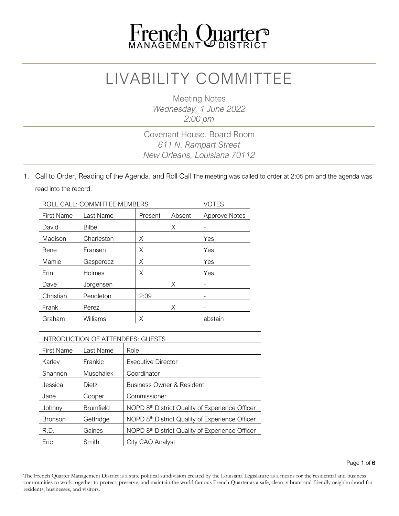

## LIVABILITY COMMITTEE

Meeting Notes *Wednesday, 1 June 2022 2:00 pm*

#### Covenant House, Board Room *611 N. Rampart Street New Orleans, Louisiana 70112*

1. Call to Order, Reading of the Agenda, and Roll Call The meeting was called to order at 2:05 pm and the agenda was read into the record.

| ROLL CALL: COMMITTEE MEMBERS |              |         |        | <b>VOTES</b>         |
|------------------------------|--------------|---------|--------|----------------------|
| First Name                   | Last Name    | Present | Absent | <b>Approve Notes</b> |
| David                        | <b>Bilbe</b> |         | X      |                      |
| Madison                      | Charleston   | X       |        | Yes                  |
| Rene                         | Fransen      | Χ       |        | Yes                  |
| Mamie                        | Gasperecz    | Χ       |        | Yes                  |
| Erin                         | Holmes       | Χ       |        | Yes                  |
| Dave                         | Jorgensen    |         | X      |                      |
| Christian                    | Pendleton    | 2:09    |        | -                    |
| Frank                        | Perez        |         | Χ      |                      |
| Graham                       | Williams     | Χ       |        | abstain              |

| <b>INTRODUCTION OF ATTENDEES: GUESTS</b> |                  |                                                 |  |
|------------------------------------------|------------------|-------------------------------------------------|--|
| <b>First Name</b>                        | Last Name        | Role                                            |  |
| Karley                                   | Frankic          | <b>Executive Director</b>                       |  |
| Shannon                                  | <b>Muschalek</b> | Coordinator                                     |  |
| Jessica                                  | Dietz            | <b>Business Owner &amp; Resident</b>            |  |
| Jane                                     | Cooper           | Commissioner                                    |  |
| Johnny                                   | <b>Brumfield</b> | NOPD 8th District Quality of Experience Officer |  |
| <b>Bronson</b>                           | Gettridge        | NOPD 8th District Quality of Experience Officer |  |
| R.D.                                     | Gaines           | NOPD 8th District Quality of Experience Officer |  |
| Eric                                     | Smith            | City CAO Analyst                                |  |

The French Quarter Management District is a state political subdivision created by the Louisiana Legislature as a means for the residential and business communities to work together to protect, preserve, and maintain the world famous French Quarter as a safe, clean, vibrant and friendly neighborhood for residents, businesses, and visitors.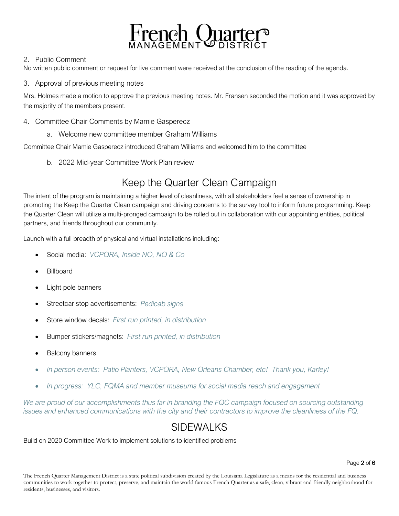

#### 2. Public Comment

No written public comment or request for live comment were received at the conclusion of the reading of the agenda.

#### 3. Approval of previous meeting notes

Mrs. Holmes made a motion to approve the previous meeting notes. Mr. Fransen seconded the motion and it was approved by the majority of the members present.

- 4. Committee Chair Comments by Mamie Gasperecz
	- a. Welcome new committee member Graham Williams

Committee Chair Mamie Gasperecz introduced Graham Williams and welcomed him to the committee

b. 2022 Mid-year Committee Work Plan review

## Keep the Quarter Clean Campaign

The intent of the program is maintaining a higher level of cleanliness, with all stakeholders feel a sense of ownership in promoting the Keep the Quarter Clean campaign and driving concerns to the survey tool to inform future programming. Keep the Quarter Clean will utilize a multi-pronged campaign to be rolled out in collaboration with our appointing entities, political partners, and friends throughout our community.

Launch with a full breadth of physical and virtual installations including:

- Social media: *VCPORA, Inside NO, NO & Co*
- **Billboard**
- Light pole banners
- Streetcar stop advertisements: *Pedicab signs*
- Store window decals: *First run printed, in distribution*
- Bumper stickers/magnets: *First run printed, in distribution*
- Balcony banners
- *In person events: Patio Planters, VCPORA, New Orleans Chamber, etc! Thank you, Karley!*
- *In progress: YLC, FQMA and member museums for social media reach and engagement*

*We are proud of our accomplishments thus far in branding the FQC campaign focused on sourcing outstanding issues and enhanced communications with the city and their contractors to improve the cleanliness of the FQ.*

## SIDEWALKS

Build on 2020 Committee Work to implement solutions to identified problems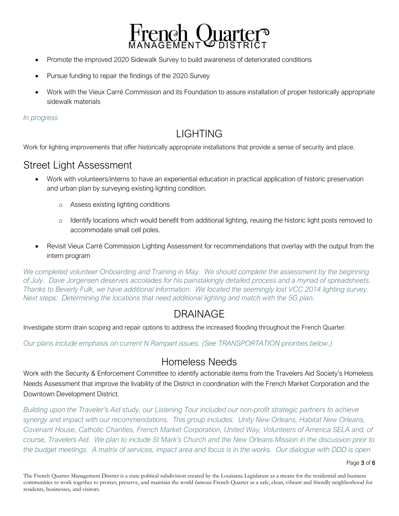

- Promote the improved 2020 Sidewalk Survey to build awareness of deteriorated conditions
- Pursue funding to repair the findings of the 2020 Survey
- Work with the Vieux Carré Commission and its Foundation to assure installation of proper historically appropriate sidewalk materials

#### *In progress*

## LIGHTING

Work for lighting improvements that offer historically appropriate installations that provide a sense of security and place.

## Street Light Assessment

- Work with volunteers/interns to have an experiential education in practical application of historic preservation and urban plan by surveying existing lighting condition.
	- o Assess existing lighting conditions
	- o Identify locations which would benefit from additional lighting, reusing the historic light posts removed to accommodate small cell poles.
- Revisit Vieux Carré Commission Lighting Assessment for recommendations that overlay with the output from the intern program

*We completed volunteer Onboarding and Training in May. We should complete the assessment by the beginning of July. Dave Jorgensen deserves accolades for his painstakingly detailed process and a myriad of spreadsheets. Thanks to Beverly Fulk, we have additional information. We located the seemingly lost VCC 2014 lighting survey. Next steps: Determining the locations that need additional lighting and match with the 5G plan.*

## DRAINAGE

Investigate storm drain scoping and repair options to address the increased flooding throughout the French Quarter.

*Our plans include emphasis on current N Rampart issues. (See TRANSPORTATION priorities below.)*

## Homeless Needs

Work with the Security & Enforcement Committee to identify actionable items from the Travelers Aid Society's Homeless Needs Assessment that improve the livability of the District in coordination with the French Market Corporation and the Downtown Development District.

*Building upon the Traveler's Aid study, our Listening Tour included our non-profit strategic partners to achieve synergy and impact with our recommendations. This group includes: Unity New Orleans, Habitat New Orleans, Covenant House, Catholic Charities, French Market Corporation, United Way, Volunteers of America SELA and, of* course, Travelers Aid. We plan to include St Mark's Church and the New Orleans Mission in the discussion prior to the budget meetings. A matrix of services, impact area and focus is in the works. Our dialogue with DDD is open

Page 3 of 6

The French Quarter Management District is a state political subdivision created by the Louisiana Legislature as a means for the residential and business communities to work together to protect, preserve, and maintain the world famous French Quarter as a safe, clean, vibrant and friendly neighborhood for residents, businesses, and visitors.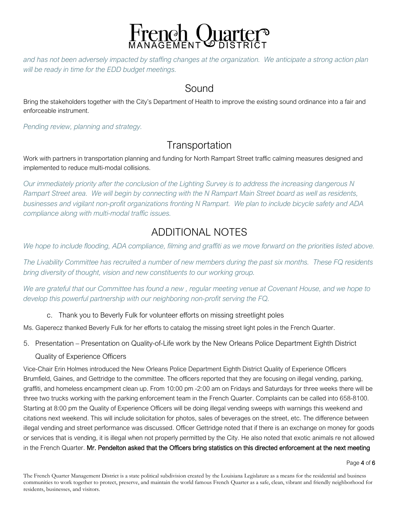

and has not been adversely impacted by staffing changes at the organization. We anticipate a strong action plan *will be ready in time for the EDD budget meetings.*

#### Sound

Bring the stakeholders together with the City's Department of Health to improve the existing sound ordinance into a fair and enforceable instrument.

*Pending review, planning and strategy.*

## **Transportation**

Work with partners in transportation planning and funding for North Rampart Street traffic calming measures designed and implemented to reduce multi-modal collisions.

Our immediately priority after the conclusion of the Lighting Survey is to address the increasing dangerous N Rampart Street area. We will begin by connecting with the N Rampart Main Street board as well as residents, *businesses and vigilant non-profit organizations fronting N Rampart. We plan to include bicycle safety and ADA compliance along with multi-modal traffic issues.*

## ADDITIONAL NOTES

We hope to include flooding, ADA compliance, filming and graffiti as we move forward on the priorities listed above.

The Livability Committee has recruited a number of new members during the past six months. These FQ residents *bring diversity of thought, vision and new constituents to our working group.*

We are grateful that our Committee has found a new, regular meeting venue at Covenant House, and we hope to *develop this powerful partnership with our neighboring non-profit serving the FQ.*

#### c. Thank you to Beverly Fulk for volunteer efforts on missing streetlight poles

Ms. Gaperecz thanked Beverly Fulk for her efforts to catalog the missing street light poles in the French Quarter.

5. Presentation – Presentation on Quality-of-Life work by the New Orleans Police Department Eighth District

#### Quality of Experience Officers

Vice-Chair Erin Holmes introduced the New Orleans Police Department Eighth District Quality of Experience Officers Brumfield, Gaines, and Gettridge to the committee. The officers reported that they are focusing on illegal vending, parking, graffiti, and homeless encampment clean up. From 10:00 pm -2:00 am on Fridays and Saturdays for three weeks there will be three two trucks working with the parking enforcement team in the French Quarter. Complaints can be called into 658-8100. Starting at 8:00 pm the Quality of Experience Officers will be doing illegal vending sweeps with warnings this weekend and citations next weekend. This will include solicitation for photos, sales of beverages on the street, etc. The difference between illegal vending and street performance was discussed. Officer Gettridge noted that if there is an exchange on money for goods or services that is vending, it is illegal when not properly permitted by the City. He also noted that exotic animals re not allowed in the French Quarter. Mr. Pendelton asked that the Officers bring statistics on this directed enforcement at the next meeting

Page 4 of 6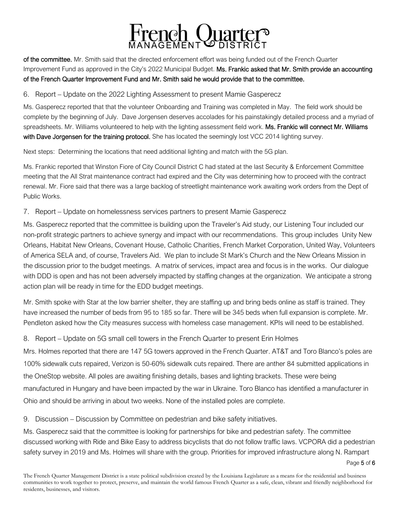

of the committee. Mr. Smith said that the directed enforcement effort was being funded out of the French Quarter Improvement Fund as approved in the City's 2022 Municipal Budget. Ms. Frankic asked that Mr. Smith provide an accounting of the French Quarter Improvement Fund and Mr. Smith said he would provide that to the committee.

6. Report – Update on the 2022 Lighting Assessment to present Mamie Gasperecz

Ms. Gasperecz reported that that the volunteer Onboarding and Training was completed in May. The field work should be complete by the beginning of July. Dave Jorgensen deserves accolades for his painstakingly detailed process and a myriad of spreadsheets. Mr. Williams volunteered to help with the lighting assessment field work. Ms. Frankic will connect Mr. Williams with Dave Jorgensen for the training protocol. She has located the seemingly lost VCC 2014 lighting survey.

Next steps: Determining the locations that need additional lighting and match with the 5G plan.

Ms. Frankic reported that Winston Fiore of City Council District C had stated at the last Security & Enforcement Committee meeting that the All Strat maintenance contract had expired and the City was determining how to proceed with the contract renewal. Mr. Fiore said that there was a large backlog of streetlight maintenance work awaiting work orders from the Dept of Public Works.

#### 7. Report – Update on homelessness services partners to present Mamie Gasperecz

Ms. Gasperecz reported that the committee is building upon the Traveler's Aid study, our Listening Tour included our non-profit strategic partners to achieve synergy and impact with our recommendations. This group includes Unity New Orleans, Habitat New Orleans, Covenant House, Catholic Charities, French Market Corporation, United Way, Volunteers of America SELA and, of course, Travelers Aid. We plan to include St Mark's Church and the New Orleans Mission in the discussion prior to the budget meetings. A matrix of services, impact area and focus is in the works. Our dialogue with DDD is open and has not been adversely impacted by staffing changes at the organization. We anticipate a strong action plan will be ready in time for the EDD budget meetings.

Mr. Smith spoke with Star at the low barrier shelter, they are staffing up and bring beds online as staff is trained. They have increased the number of beds from 95 to 185 so far. There will be 345 beds when full expansion is complete. Mr. Pendleton asked how the City measures success with homeless case management. KPIs will need to be established.

#### 8. Report – Update on 5G small cell towers in the French Quarter to present Erin Holmes

Mrs. Holmes reported that there are 147 5G towers approved in the French Quarter. AT&T and Toro Blanco's poles are 100% sidewalk cuts repaired, Verizon is 50-60% sidewalk cuts repaired. There are anther 84 submitted applications in the OneStop website. All poles are awaiting finishing details, bases and lighting brackets. These were being manufactured in Hungary and have been impacted by the war in Ukraine. Toro Blanco has identified a manufacturer in Ohio and should be arriving in about two weeks. None of the installed poles are complete.

9. Discussion – Discussion by Committee on pedestrian and bike safety initiatives.

Ms. Gasperecz said that the committee is looking for partnerships for bike and pedestrian safety. The committee discussed working with Ride and Bike Easy to address bicyclists that do not follow traffic laws. VCPORA did a pedestrian safety survey in 2019 and Ms. Holmes will share with the group. Priorities for improved infrastructure along N. Rampart

Page 5 of 6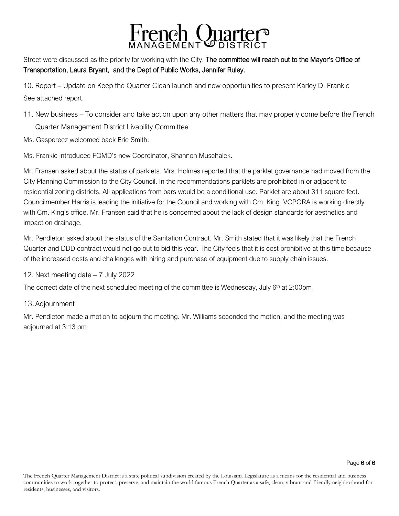

Street were discussed as the priority for working with the City. The committee will reach out to the Mayor's Office of Transportation, Laura Bryant, and the Dept of Public Works, Jennifer Ruley.

10. Report – Update on Keep the Quarter Clean launch and new opportunities to present Karley D. Frankic See attached report.

- 11. New business To consider and take action upon any other matters that may properly come before the French Quarter Management District Livability Committee
- Ms. Gasperecz welcomed back Eric Smith.

Ms. Frankic introduced FQMD's new Coordinator, Shannon Muschalek.

Mr. Fransen asked about the status of parklets. Mrs. Holmes reported that the parklet governance had moved from the City Planning Commission to the City Council. In the recommendations parklets are prohibited in or adjacent to residential zoning districts. All applications from bars would be a conditional use. Parklet are about 311 square feet. Councilmember Harris is leading the initiative for the Council and working with Cm. King. VCPORA is working directly with Cm. King's office. Mr. Fransen said that he is concerned about the lack of design standards for aesthetics and impact on drainage.

Mr. Pendleton asked about the status of the Sanitation Contract. Mr. Smith stated that it was likely that the French Quarter and DDD contract would not go out to bid this year. The City feels that it is cost prohibitive at this time because of the increased costs and challenges with hiring and purchase of equipment due to supply chain issues.

12. Next meeting date – 7 July 2022

The correct date of the next scheduled meeting of the committee is Wednesday, July  $6<sup>th</sup>$  at 2:00pm

#### 13.Adjournment

Mr. Pendleton made a motion to adjourn the meeting. Mr. Williams seconded the motion, and the meeting was adjourned at 3:13 pm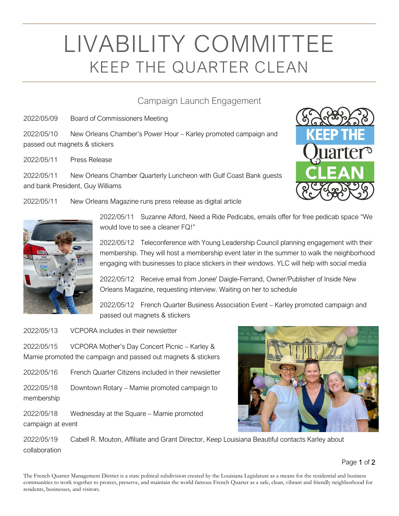# LIVABILITY COMMITTEE KEEP THE QUARTER CLEAN

#### Campaign Launch Engagement

2022/05/09 Board of Commissioners Meeting

2022/05/10 New Orleans Chamber's Power Hour – Karley promoted campaign and passed out magnets & stickers

2022/05/11 Press Release

2022/05/11 New Orleans Chamber Quarterly Luncheon with Gulf Coast Bank guests and bank President, Guy Williams

2022/05/11 New Orleans Magazine runs press release as digital article



2022/05/11 Suzanne Alford, Need a Ride Pedicabs, emails offer for free pedicab space "We would love to see a cleaner FQ!"

2022/05/12 Teleconference with Young Leadership Council planning engagement with their membership. They will host a membership event later in the summer to walk the neighborhood engaging with businesses to place stickers in their windows. YLC will help with social media

2022/05/12 Receive email from Jonee' Daigle-Ferrand, Owner/Publisher of Inside New Orleans Magazine, requesting interview. Waiting on her to schedule

2022/05/12 French Quarter Business Association Event – Karley promoted campaign and passed out magnets & stickers

2022/05/13 VCPORA includes in their newsletter

2022/05/15 VCPORA Mother's Day Concert Picnic – Karley & Mamie promoted the campaign and passed out magnets & stickers

2022/05/16 French Quarter Citizens included in their newsletter

2022/05/18 Downtown Rotary – Mamie promoted campaign to membership

2022/05/18 Wednesday at the Square – Mamie promoted campaign at event



2022/05/19 Cabell R. Mouton, Affiliate and Grant Director, Keep Louisiana Beautiful contacts Karley about collaboration

Page 1 of 2

The French Quarter Management District is a state political subdivision created by the Louisiana Legislature as a means for the residential and business communities to work together to protect, preserve, and maintain the world famous French Quarter as a safe, clean, vibrant and friendly neighborhood for residents, businesses, and visitors.